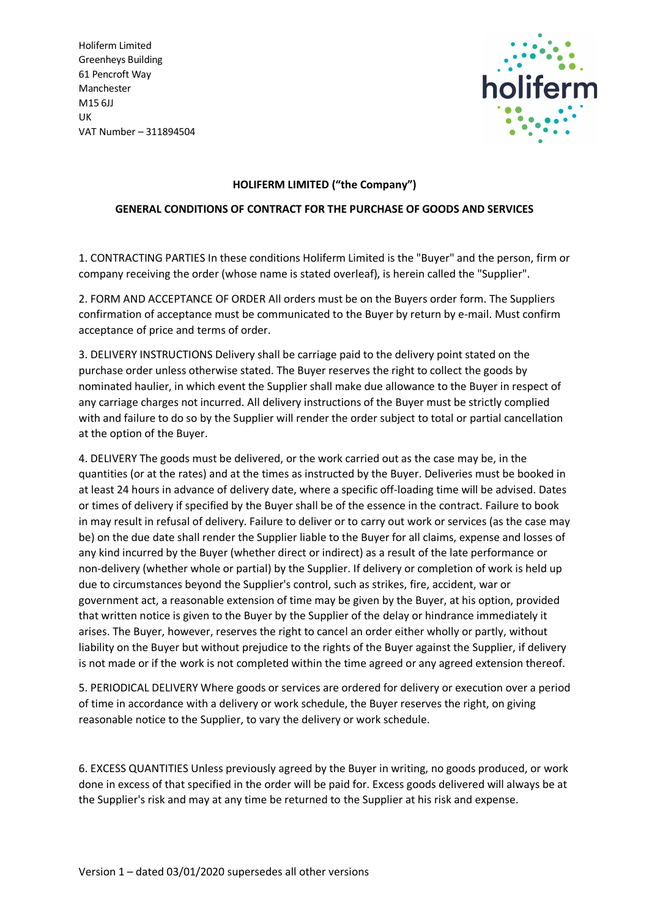Holiferm Limited Greenheys Building 61 Pencroft Way Manchester M15 6JJ UK VAT Number – 311894504



## **HOLIFERM LIMITED ("the Company")**

## **GENERAL CONDITIONS OF CONTRACT FOR THE PURCHASE OF GOODS AND SERVICES**

1. CONTRACTING PARTIES In these conditions Holiferm Limited is the "Buyer" and the person, firm or company receiving the order (whose name is stated overleaf), is herein called the "Supplier".

2. FORM AND ACCEPTANCE OF ORDER All orders must be on the Buyers order form. The Suppliers confirmation of acceptance must be communicated to the Buyer by return by e-mail. Must confirm acceptance of price and terms of order.

3. DELIVERY INSTRUCTIONS Delivery shall be carriage paid to the delivery point stated on the purchase order unless otherwise stated. The Buyer reserves the right to collect the goods by nominated haulier, in which event the Supplier shall make due allowance to the Buyer in respect of any carriage charges not incurred. All delivery instructions of the Buyer must be strictly complied with and failure to do so by the Supplier will render the order subject to total or partial cancellation at the option of the Buyer.

4. DELIVERY The goods must be delivered, or the work carried out as the case may be, in the quantities (or at the rates) and at the times as instructed by the Buyer. Deliveries must be booked in at least 24 hours in advance of delivery date, where a specific off-loading time will be advised. Dates or times of delivery if specified by the Buyer shall be of the essence in the contract. Failure to book in may result in refusal of delivery. Failure to deliver or to carry out work or services (as the case may be) on the due date shall render the Supplier liable to the Buyer for all claims, expense and losses of any kind incurred by the Buyer (whether direct or indirect) as a result of the late performance or non-delivery (whether whole or partial) by the Supplier. If delivery or completion of work is held up due to circumstances beyond the Supplier's control, such as strikes, fire, accident, war or government act, a reasonable extension of time may be given by the Buyer, at his option, provided that written notice is given to the Buyer by the Supplier of the delay or hindrance immediately it arises. The Buyer, however, reserves the right to cancel an order either wholly or partly, without liability on the Buyer but without prejudice to the rights of the Buyer against the Supplier, if delivery is not made or if the work is not completed within the time agreed or any agreed extension thereof.

5. PERIODICAL DELIVERY Where goods or services are ordered for delivery or execution over a period of time in accordance with a delivery or work schedule, the Buyer reserves the right, on giving reasonable notice to the Supplier, to vary the delivery or work schedule.

6. EXCESS QUANTITIES Unless previously agreed by the Buyer in writing, no goods produced, or work done in excess of that specified in the order will be paid for. Excess goods delivered will always be at the Supplier's risk and may at any time be returned to the Supplier at his risk and expense.